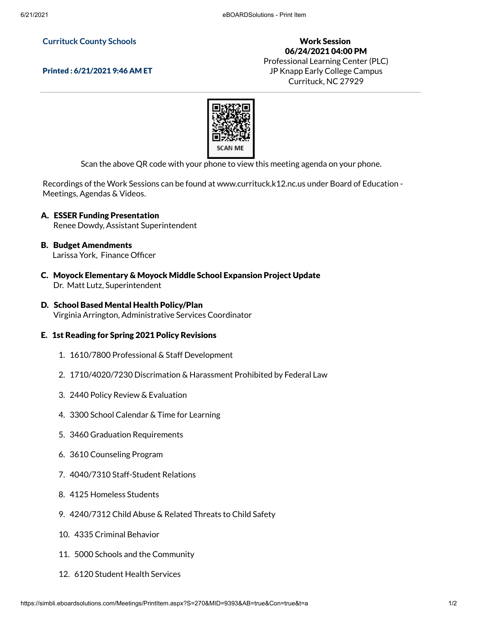## **Currituck County Schools**

## Printed : 6/21/2021 9:46 AM ET

Work Session 06/24/2021 04:00 PM Professional Learning Center (PLC) JP Knapp Early College Campus Currituck, NC 27929



Scan the above QR code with your phone to view this meeting agenda on your phone.

Recordings of the Work Sessions can be found at www.currituck.k12.nc.us under Board of Education - Meetings, Agendas & Videos.

- A. ESSER Funding Presentation Renee Dowdy, Assistant Superintendent
- B. Budget Amendments Larissa York, Finance Officer
- C. Moyock Elementary & Moyock Middle School Expansion Project Update Dr. Matt Lutz, Superintendent
- D. School Based Mental Health Policy/Plan Virginia Arrington, Administrative Services Coordinator

## E. 1st Reading for Spring 2021 Policy Revisions

- 1. 1610/7800 Professional & Staff Development
- 2. 1710/4020/7230 Discrimation & Harassment Prohibited by Federal Law
- 3. 2440 Policy Review & Evaluation
- 4. 3300 School Calendar & Time for Learning
- 5. 3460 Graduation Requirements
- 6. 3610 Counseling Program
- 7. 4040/7310 Staff-Student Relations
- 8. 4125 Homeless Students
- 9. 4240/7312 Child Abuse & Related Threats to Child Safety
- 10. 4335 Criminal Behavior
- 11. 5000 Schools and the Community
- 12. 6120 Student Health Services